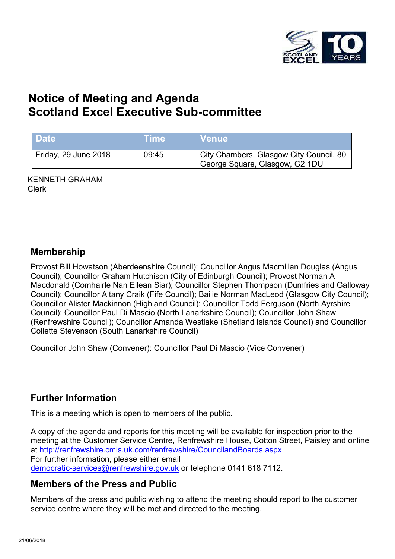

# **Notice of Meeting and Agenda Scotland Excel Executive Sub-committee**

| <b>Date</b>          | ⊦Time | N Venue∖                                                                  |
|----------------------|-------|---------------------------------------------------------------------------|
| Friday, 29 June 2018 | 09:45 | City Chambers, Glasgow City Council, 80<br>George Square, Glasgow, G2 1DU |

KENNETH GRAHAM Clerk

#### **Membership**

Provost Bill Howatson (Aberdeenshire Council); Councillor Angus Macmillan Douglas (Angus Council); Councillor Graham Hutchison (City of Edinburgh Council); Provost Norman A Macdonald (Comhairle Nan Eilean Siar); Councillor Stephen Thompson (Dumfries and Galloway Council); Councillor Altany Craik (Fife Council); Bailie Norman MacLeod (Glasgow City Council); Councillor Alister Mackinnon (Highland Council); Councillor Todd Ferguson (North Ayrshire Council); Councillor Paul Di Mascio (North Lanarkshire Council); Councillor John Shaw (Renfrewshire Council); Councillor Amanda Westlake (Shetland Islands Council) and Councillor Collette Stevenson (South Lanarkshire Council)

Councillor John Shaw (Convener): Councillor Paul Di Mascio (Vice Convener)

## **Further Information**

This is a meeting which is open to members of the public.

A copy of the agenda and reports for this meeting will be available for inspection prior to the meeting at the Customer Service Centre, Renfrewshire House, Cotton Street, Paisley and online at <http://renfrewshire.cmis.uk.com/renfrewshire/CouncilandBoards.aspx> For further information, please either email [democratic-services@renfrewshire.gov.uk](mailto:democratic-services@renfrewshire.gov.uk) or telephone 0141 618 7112.

## **Members of the Press and Public**

Members of the press and public wishing to attend the meeting should report to the customer service centre where they will be met and directed to the meeting.